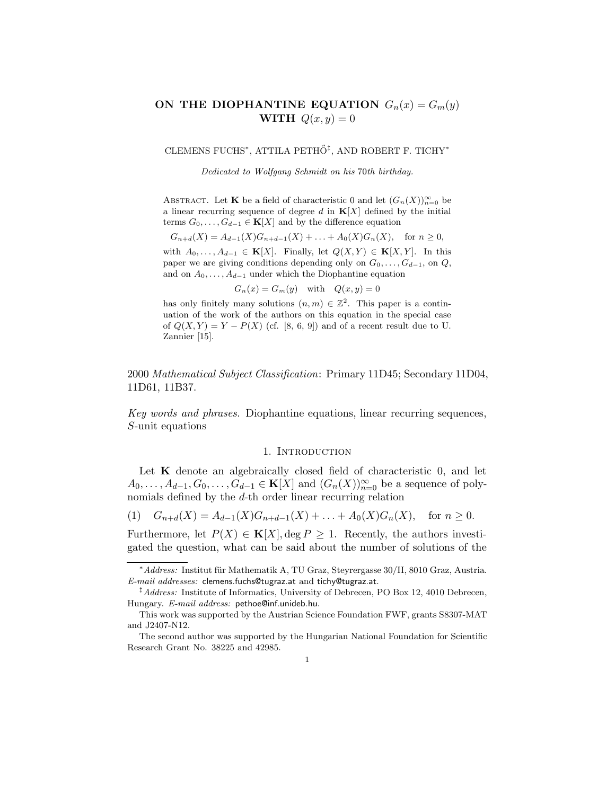# ON THE DIOPHANTINE EQUATION  $G_n(x) = G_m(y)$ WITH  $Q(x, y) = 0$

<code>CLEMENS</code> FUCHS\*, <code>ATTILA</code> <code>PETHÕ $^{\ddagger}$ , <code>AND</code> ROBERT F. <code>TICHY\*</code></code>

Dedicated to Wolfgang Schmidt on his 70th birthday.

ABSTRACT. Let **K** be a field of characteristic 0 and let  $(G_n(X))_{n=0}^{\infty}$  be a linear recurring sequence of degree d in  $K[X]$  defined by the initial terms  $G_0, \ldots, G_{d-1} \in \mathbf{K}[X]$  and by the difference equation

$$
G_{n+d}(X) = A_{d-1}(X)G_{n+d-1}(X) + \ldots + A_0(X)G_n(X), \text{ for } n \ge 0,
$$

with  $A_0, \ldots, A_{d-1} \in \mathbf{K}[X]$ . Finally, let  $Q(X, Y) \in \mathbf{K}[X, Y]$ . In this paper we are giving conditions depending only on  $G_0, \ldots, G_{d-1}$ , on  $Q$ , and on  $A_0, \ldots, A_{d-1}$  under which the Diophantine equation

 $G_n(x) = G_m(y)$  with  $Q(x, y) = 0$ 

has only finitely many solutions  $(n, m) \in \mathbb{Z}^2$ . This paper is a continuation of the work of the authors on this equation in the special case of  $Q(X, Y) = Y - P(X)$  (cf. [8, 6, 9]) and of a recent result due to U. Zannier [15].

2000 Mathematical Subject Classification: Primary 11D45; Secondary 11D04, 11D61, 11B37.

Key words and phrases. Diophantine equations, linear recurring sequences, S-unit equations

#### 1. INTRODUCTION

Let  $\bf{K}$  denote an algebraically closed field of characteristic 0, and let  $A_0, \ldots, A_{d-1}, G_0, \ldots, G_{d-1} \in \mathbf{K}[X]$  and  $(G_n(X))_{n=0}^{\infty}$  be a sequence of polynomials defined by the d-th order linear recurring relation

$$
(1) \tG_{n+d}(X) = A_{d-1}(X)G_{n+d-1}(X) + \ldots + A_0(X)G_n(X), \text{ for } n \ge 0.
$$

Furthermore, let  $P(X) \in K[X]$ , deg  $P \geq 1$ . Recently, the authors investigated the question, what can be said about the number of solutions of the

<sup>\*</sup> Address: Institut für Mathematik A, TU Graz, Steyrergasse 30/II, 8010 Graz, Austria. E-mail addresses: clemens.fuchs@tugraz.at and tichy@tugraz.at.

<sup>‡</sup>Address: Institute of Informatics, University of Debrecen, PO Box 12, 4010 Debrecen, Hungary. E-mail address: pethoe@inf.unideb.hu.

This work was supported by the Austrian Science Foundation FWF, grants S8307-MAT and J2407-N12.

The second author was supported by the Hungarian National Foundation for Scientific Research Grant No. 38225 and 42985.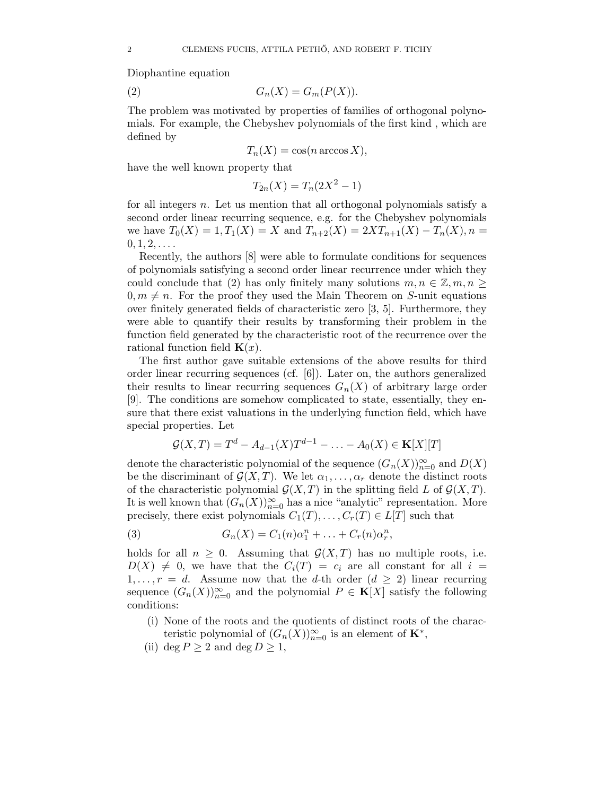Diophantine equation

$$
(2) \tGn(X) = Gm(P(X)).
$$

The problem was motivated by properties of families of orthogonal polynomials. For example, the Chebyshev polynomials of the first kind , which are defined by

$$
T_n(X) = \cos(n \arccos X),
$$

have the well known property that

$$
T_{2n}(X) = T_n(2X^2 - 1)
$$

for all integers n. Let us mention that all orthogonal polynomials satisfy a second order linear recurring sequence, e.g. for the Chebyshev polynomials we have  $T_0(X) = 1, T_1(X) = X$  and  $T_{n+2}(X) = 2XT_{n+1}(X) - T_n(X)$ ,  $n =$  $0, 1, 2, \ldots$ 

Recently, the authors [8] were able to formulate conditions for sequences of polynomials satisfying a second order linear recurrence under which they could conclude that (2) has only finitely many solutions  $m, n \in \mathbb{Z}, m, n > 0$  $0, m \neq n$ . For the proof they used the Main Theorem on S-unit equations over finitely generated fields of characteristic zero [3, 5]. Furthermore, they were able to quantify their results by transforming their problem in the function field generated by the characteristic root of the recurrence over the rational function field  $\mathbf{K}(x)$ .

The first author gave suitable extensions of the above results for third order linear recurring sequences (cf. [6]). Later on, the authors generalized their results to linear recurring sequences  $G_n(X)$  of arbitrary large order [9]. The conditions are somehow complicated to state, essentially, they ensure that there exist valuations in the underlying function field, which have special properties. Let

$$
\mathcal{G}(X,T) = T^d - A_{d-1}(X)T^{d-1} - \ldots - A_0(X) \in \mathbf{K}[X][T]
$$

denote the characteristic polynomial of the sequence  $(G_n(X))_{n=0}^{\infty}$  and  $D(X)$ be the discriminant of  $\mathcal{G}(X,T)$ . We let  $\alpha_1,\ldots,\alpha_r$  denote the distinct roots of the characteristic polynomial  $\mathcal{G}(X,T)$  in the splitting field L of  $\mathcal{G}(X,T)$ . It is well known that  $(G_n(X))_{n=0}^{\infty}$  has a nice "analytic" representation. More precisely, there exist polynomials  $C_1(T), \ldots, C_r(T) \in L[T]$  such that

(3) 
$$
G_n(X) = C_1(n)\alpha_1^n + ... + C_r(n)\alpha_r^n,
$$

holds for all  $n \geq 0$ . Assuming that  $\mathcal{G}(X,T)$  has no multiple roots, i.e.  $D(X) \neq 0$ , we have that the  $C_i(T) = c_i$  are all constant for all  $i =$  $1, \ldots, r = d$ . Assume now that the d-th order  $(d \geq 2)$  linear recurring sequence  $(G_n(X))_{n=0}^{\infty}$  and the polynomial  $P \in \mathbf{K}[X]$  satisfy the following conditions:

- (i) None of the roots and the quotients of distinct roots of the characteristic polynomial of  $(G_n(X))_{n=0}^{\infty}$  is an element of  $\mathbf{K}^*$ ,
- (ii) deg  $P \geq 2$  and deg  $D \geq 1$ ,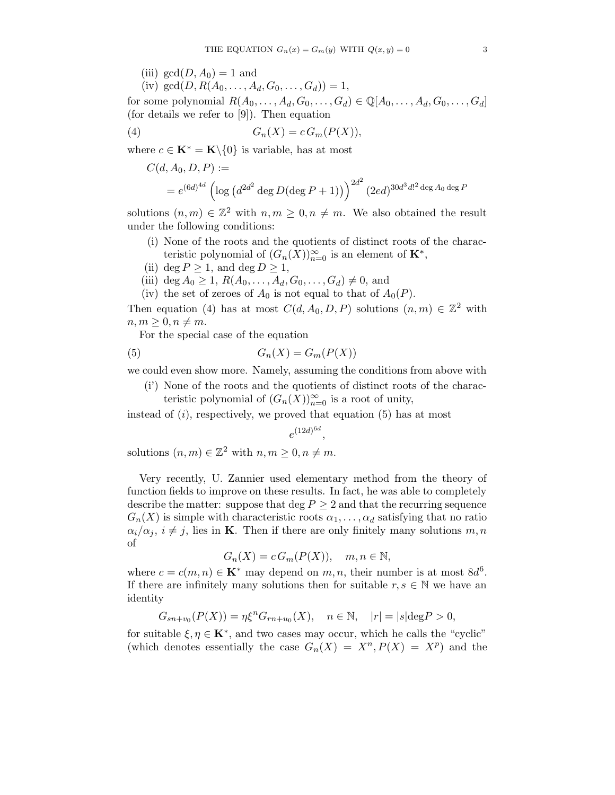(iii)  $gcd(D, A_0) = 1$  and

(iv)  $gcd(D, R(A_0, \ldots, A_d, G_0, \ldots, G_d)) = 1$ ,

for some polynomial  $R(A_0, \ldots, A_d, G_0, \ldots, G_d) \in \mathbb{Q}[A_0, \ldots, A_d, G_0, \ldots, G_d]$ (for details we refer to [9]). Then equation

$$
(4) \tGn(X) = c Gm(P(X)),
$$

where  $c \in \mathbf{K}^* = \mathbf{K} \backslash \{0\}$  is variable, has at most

$$
C(d, A_0, D, P) :=
$$
  
=  $e^{(6d)^{4d}} \left( \log \left( d^{2d^2} \deg D(\deg P + 1) \right) \right)^{2d^2} (2ed)^{30d^3d!^2 \deg A_0 \deg P}$ 

solutions  $(n, m) \in \mathbb{Z}^2$  with  $n, m \geq 0, n \neq m$ . We also obtained the result under the following conditions:

- (i) None of the roots and the quotients of distinct roots of the characteristic polynomial of  $(G_n(X))_{n=0}^{\infty}$  is an element of  $\mathbf{K}^*$ ,
- (ii) deg  $P \geq 1$ , and deg  $D \geq 1$ ,
- (iii) deg  $A_0 \ge 1$ ,  $R(A_0, \ldots, A_d, G_0, \ldots, G_d) \ne 0$ , and
- (iv) the set of zeroes of  $A_0$  is not equal to that of  $A_0(P)$ .

Then equation (4) has at most  $C(d, A_0, D, P)$  solutions  $(n, m) \in \mathbb{Z}^2$  with  $n, m \geq 0, n \neq m$ .

For the special case of the equation

$$
(5) \tGn(X) = Gm(P(X))
$$

we could even show more. Namely, assuming the conditions from above with

(i') None of the roots and the quotients of distinct roots of the charac-

teristic polynomial of  $(G_n(X))_{n=0}^{\infty}$  is a root of unity,

instead of  $(i)$ , respectively, we proved that equation  $(5)$  has at most

$$
e^{(12d)^{6d}},
$$

solutions  $(n, m) \in \mathbb{Z}^2$  with  $n, m \geq 0, n \neq m$ .

Very recently, U. Zannier used elementary method from the theory of function fields to improve on these results. In fact, he was able to completely describe the matter: suppose that deg  $P \geq 2$  and that the recurring sequence  $G_n(X)$  is simple with characteristic roots  $\alpha_1, \ldots, \alpha_d$  satisfying that no ratio  $\alpha_i/\alpha_j$ ,  $i \neq j$ , lies in **K**. Then if there are only finitely many solutions m, n of

$$
G_n(X) = c \, G_m(P(X)), \quad m, n \in \mathbb{N},
$$

where  $c = c(m, n) \in \mathbf{K}^*$  may depend on  $m, n$ , their number is at most  $8d^6$ . If there are infinitely many solutions then for suitable  $r, s \in \mathbb{N}$  we have an identity

$$
G_{sn+v_0}(P(X)) = \eta \xi^n G_{rn+u_0}(X), \quad n \in \mathbb{N}, \quad |r| = |s| \deg P > 0,
$$

for suitable  $\xi, \eta \in \mathbf{K}^*$ , and two cases may occur, which he calls the "cyclic" (which denotes essentially the case  $G_n(X) = X^n, P(X) = X^p$ ) and the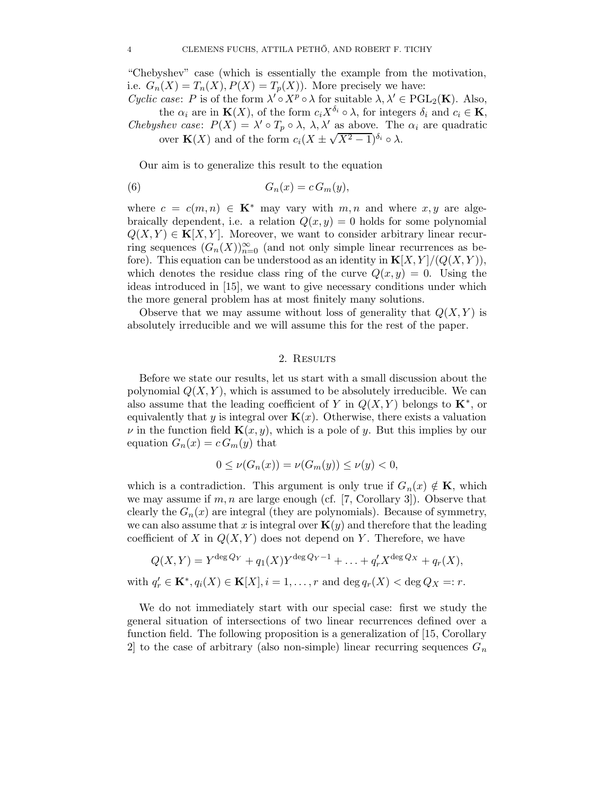"Chebyshev" case (which is essentially the example from the motivation, i.e.  $G_n(X) = T_n(X), P(X) = T_n(X)$ . More precisely we have:

Cyclic case: P is of the form  $\lambda' \circ X^p \circ \lambda$  for suitable  $\lambda, \lambda' \in \mathrm{PGL}_2(\mathbf{K})$ . Also, the  $\alpha_i$  are in  $\mathbf{K}(X)$ , of the form  $c_i X^{\delta_i} \circ \lambda$ , for integers  $\delta_i$  and  $c_i \in \mathbf{K}$ , Chebyshev case:  $P(X) = \lambda' \circ T_p \circ \lambda$ ,  $\lambda, \lambda'$  as above. The  $\alpha_i$  are quadratic over  $\mathbf{K}(X)$  and of the form  $c_i(X \pm \sqrt{X^2 - 1})^{\delta_i} \circ \lambda$ .

Our aim is to generalize this result to the equation

$$
(6) \tGn(x) = c Gm(y),
$$

where  $c = c(m, n) \in \mathbf{K}^*$  may vary with  $m, n$  and where  $x, y$  are algebraically dependent, i.e. a relation  $Q(x, y) = 0$  holds for some polynomial  $Q(X, Y) \in \mathbf{K}[X, Y]$ . Moreover, we want to consider arbitrary linear recurring sequences  $(G_n(X))_{n=0}^{\infty}$  (and not only simple linear recurrences as before). This equation can be understood as an identity in  $\mathbf{K}[X, Y]/(Q(X, Y)),$ which denotes the residue class ring of the curve  $Q(x, y) = 0$ . Using the ideas introduced in [15], we want to give necessary conditions under which the more general problem has at most finitely many solutions.

Observe that we may assume without loss of generality that  $Q(X, Y)$  is absolutely irreducible and we will assume this for the rest of the paper.

## 2. RESULTS

Before we state our results, let us start with a small discussion about the polynomial  $Q(X, Y)$ , which is assumed to be absolutely irreducible. We can also assume that the leading coefficient of Y in  $Q(X, Y)$  belongs to  $\mathbf{K}^*$ , or equivalently that y is integral over  $\mathbf{K}(x)$ . Otherwise, there exists a valuation  $\nu$  in the function field  $\mathbf{K}(x, y)$ , which is a pole of y. But this implies by our equation  $G_n(x) = c G_m(y)$  that

$$
0 \leq \nu(G_n(x)) = \nu(G_m(y)) \leq \nu(y) < 0,
$$

which is a contradiction. This argument is only true if  $G_n(x) \notin K$ , which we may assume if  $m, n$  are large enough (cf. [7, Corollary 3]). Observe that clearly the  $G_n(x)$  are integral (they are polynomials). Because of symmetry, we can also assume that x is integral over  $\mathbf{K}(y)$  and therefore that the leading coefficient of X in  $Q(X, Y)$  does not depend on Y. Therefore, we have

$$
Q(X,Y) = Y^{\deg Q_Y} + q_1(X)Y^{\deg Q_Y - 1} + \ldots + q'_r X^{\deg Q_X} + q_r(X),
$$

with  $q'_r \in \mathbf{K}^*, q_i(X) \in \mathbf{K}[X], i = 1, \ldots, r$  and  $\deg q_r(X) < \deg Q_X =: r$ .

We do not immediately start with our special case: first we study the general situation of intersections of two linear recurrences defined over a function field. The following proposition is a generalization of [15, Corollary 2 to the case of arbitrary (also non-simple) linear recurring sequences  $G_n$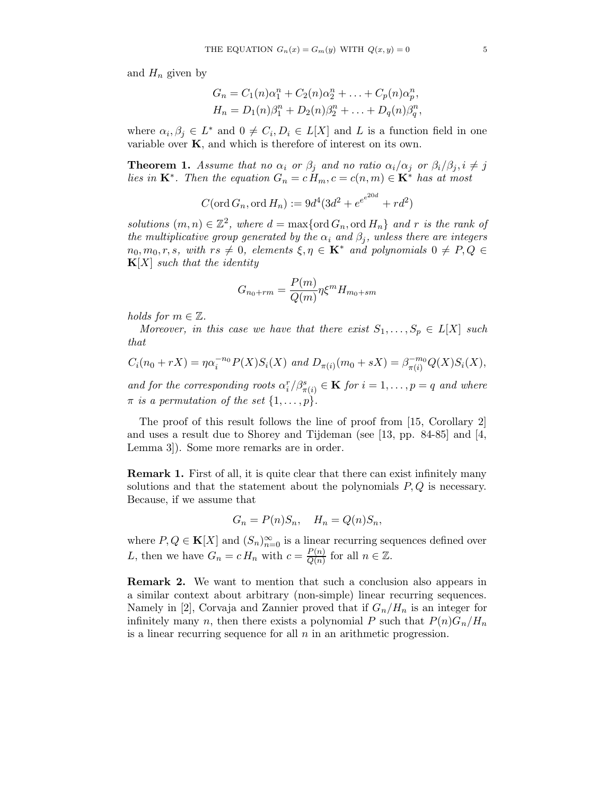and  $H_n$  given by

$$
G_n = C_1(n)\alpha_1^n + C_2(n)\alpha_2^n + \dots + C_p(n)\alpha_p^n,
$$
  
\n
$$
H_n = D_1(n)\beta_1^n + D_2(n)\beta_2^n + \dots + D_q(n)\beta_q^n,
$$

where  $\alpha_i, \beta_j \in L^*$  and  $0 \neq C_i, D_i \in L[X]$  and L is a function field in one variable over  $K$ , and which is therefore of interest on its own.

**Theorem 1.** Assume that no  $\alpha_i$  or  $\beta_j$  and no ratio  $\alpha_i/\alpha_j$  or  $\beta_i/\beta_j$ ,  $i \neq j$ lies in  $\mathbf{K}^*$ . Then the equation  $G_n = c \ddot{H}_m$ ,  $c = c(n,m) \in \mathbf{K}^*$  has at most

$$
C(\text{ord }G_n, \text{ord }H_n) := 9d^4(3d^2 + e^{e^{e^{20d}}} + rd^2)
$$

solutions  $(m, n) \in \mathbb{Z}^2$ , where  $d = \max\{\text{ord }G_n, \text{ord }H_n\}$  and r is the rank of the multiplicative group generated by the  $\alpha_i$  and  $\beta_i$ , unless there are integers  $n_0, m_0, r, s$ , with  $rs \neq 0$ , elements  $\xi, \eta \in \mathbf{K}^*$  and polynomials  $0 \neq P, Q \in$  $\mathbf{K}[X]$  such that the identity

$$
G_{n_0+rm} = \frac{P(m)}{Q(m)} \eta \xi^m H_{m_0+sm}
$$

holds for  $m \in \mathbb{Z}$ .

Moreover, in this case we have that there exist  $S_1, \ldots, S_p \in L[X]$  such that

$$
C_i(n_0 + rX) = \eta \alpha_i^{-n_0} P(X) S_i(X) \text{ and } D_{\pi(i)}(m_0 + sX) = \beta_{\pi(i)}^{-m_0} Q(X) S_i(X),
$$

and for the corresponding roots  $\alpha_i^r/\beta_{\pi(i)}^s \in \mathbf{K}$  for  $i = 1, \ldots, p = q$  and where  $\pi$  is a permutation of the set  $\{1,\ldots,p\}.$ 

The proof of this result follows the line of proof from [15, Corollary 2] and uses a result due to Shorey and Tijdeman (see [13, pp. 84-85] and [4, Lemma 3]). Some more remarks are in order.

Remark 1. First of all, it is quite clear that there can exist infinitely many solutions and that the statement about the polynomials  $P, Q$  is necessary. Because, if we assume that

$$
G_n = P(n)S_n, \quad H_n = Q(n)S_n,
$$

where  $P, Q \in \mathbf{K}[X]$  and  $(S_n)_{n=0}^{\infty}$  is a linear recurring sequences defined over L, then we have  $G_n = c H_n$  with  $c = \frac{P(n)}{O(n)}$  $\frac{P(n)}{Q(n)}$  for all  $n \in \mathbb{Z}$ .

Remark 2. We want to mention that such a conclusion also appears in a similar context about arbitrary (non-simple) linear recurring sequences. Namely in [2], Corvaja and Zannier proved that if  $G_n/H_n$  is an integer for infinitely many n, then there exists a polynomial P such that  $P(n)G_n/H_n$ is a linear recurring sequence for all  $n$  in an arithmetic progression.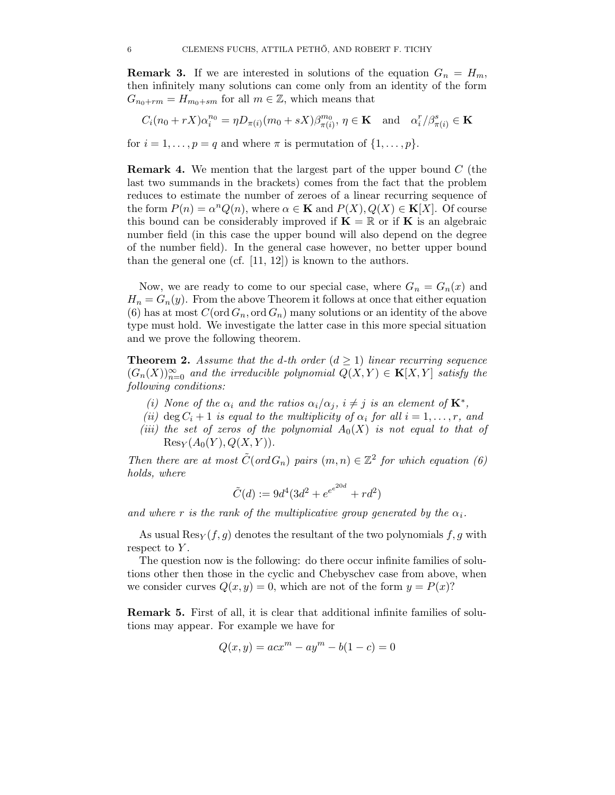**Remark 3.** If we are interested in solutions of the equation  $G_n = H_m$ , then infinitely many solutions can come only from an identity of the form  $G_{n_0+rm} = H_{m_0+sm}$  for all  $m \in \mathbb{Z}$ , which means that

$$
C_i(n_0 + rX)\alpha_i^{n_0} = \eta D_{\pi(i)}(m_0 + sX)\beta_{\pi(i)}^{m_0}, \ \eta \in \mathbf{K} \quad \text{and} \quad \alpha_i^r/\beta_{\pi(i)}^s \in \mathbf{K}
$$
  
for  $i = 1, ..., p = q$  and where  $\pi$  is permutation of  $\{1, ..., p\}$ .

**Remark 4.** We mention that the largest part of the upper bound  $C$  (the last two summands in the brackets) comes from the fact that the problem reduces to estimate the number of zeroes of a linear recurring sequence of the form  $P(n) = \alpha^n Q(n)$ , where  $\alpha \in \mathbf{K}$  and  $P(X), Q(X) \in \mathbf{K}[X]$ . Of course this bound can be considerably improved if  $\mathbf{K} = \mathbb{R}$  or if  $\mathbf{K}$  is an algebraic number field (in this case the upper bound will also depend on the degree of the number field). In the general case however, no better upper bound than the general one (cf. [11, 12]) is known to the authors.

Now, we are ready to come to our special case, where  $G_n = G_n(x)$  and  $H_n = G_n(y)$ . From the above Theorem it follows at once that either equation (6) has at most  $C(\text{ord }G_n, \text{ord }G_n)$  many solutions or an identity of the above type must hold. We investigate the latter case in this more special situation and we prove the following theorem.

**Theorem 2.** Assume that the d-th order  $(d \ge 1)$  linear recurring sequence  $(G_n(X))_{n=0}^{\infty}$  and the irreducible polynomial  $Q(X,Y) \in \mathbf{K}[X,Y]$  satisfy the following conditions:

- (i) None of the  $\alpha_i$  and the ratios  $\alpha_i/\alpha_j$ ,  $i \neq j$  is an element of  $\mathbf{K}^*$ ,
- (ii)  $\deg C_i + 1$  is equal to the multiplicity of  $\alpha_i$  for all  $i = 1, \ldots, r$ , and
- (iii) the set of zeros of the polynomial  $A_0(X)$  is not equal to that of  $\text{Res}_Y(A_0(Y), Q(X, Y)).$

Then there are at most  $\tilde{C}(ord\,G_n)$  pairs  $(m, n) \in \mathbb{Z}^2$  for which equation (6) holds, where

$$
\tilde{C}(d):=9d^4(3d^2+{e^{e^{20d}}+rd^2})
$$

and where r is the rank of the multiplicative group generated by the  $\alpha_i$ .

As usual  $\text{Res}_Y(f,g)$  denotes the resultant of the two polynomials  $f, g$  with respect to  $Y$ .

The question now is the following: do there occur infinite families of solutions other then those in the cyclic and Chebyschev case from above, when we consider curves  $Q(x, y) = 0$ , which are not of the form  $y = P(x)$ ?

Remark 5. First of all, it is clear that additional infinite families of solutions may appear. For example we have for

$$
Q(x, y) = acx^{m} - ay^{m} - b(1 - c) = 0
$$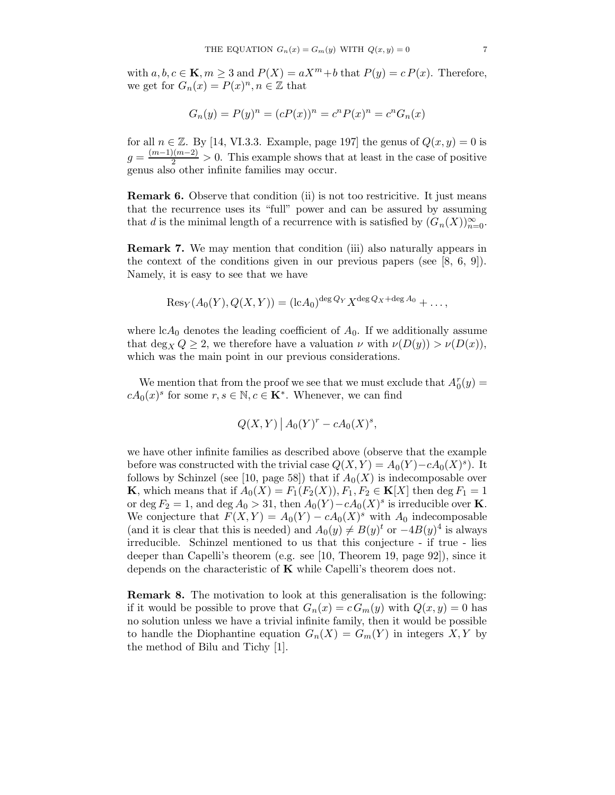with  $a, b, c \in \mathbf{K}, m \geq 3$  and  $P(X) = aX^m + b$  that  $P(y) = c P(x)$ . Therefore, we get for  $G_n(x) = P(x)^n, n \in \mathbb{Z}$  that

$$
G_n(y) = P(y)^n = (cP(x))^n = c^n P(x)^n = c^n G_n(x)
$$

for all  $n \in \mathbb{Z}$ . By [14, VI.3.3. Example, page 197] the genus of  $Q(x, y) = 0$  is  $g = \frac{(m-1)(m-2)}{2} > 0$ . This example shows that at least in the case of positive genus also other infinite families may occur.

Remark 6. Observe that condition (ii) is not too restricitive. It just means that the recurrence uses its "full" power and can be assured by assuming that d is the minimal length of a recurrence with is satisfied by  $(G_n(X))_{n=0}^{\infty}$ .

Remark 7. We may mention that condition (iii) also naturally appears in the context of the conditions given in our previous papers (see  $[8, 6, 9]$ ). Namely, it is easy to see that we have

$$
Res_Y(A_0(Y), Q(X, Y)) = (\mathrm{l}cA_0)^{\deg Q_Y} X^{\deg Q_X + \deg A_0} + \dots,
$$

where  $cA_0$  denotes the leading coefficient of  $A_0$ . If we additionally assume that  $\deg_X Q \geq 2$ , we therefore have a valuation  $\nu$  with  $\nu(D(y)) > \nu(D(x)),$ which was the main point in our previous considerations.

We mention that from the proof we see that we must exclude that  $A_0^r(y) =$  $cA_0(x)^s$  for some  $r, s \in \mathbb{N}, c \in \mathbf{K}^*$ . Whenever, we can find

$$
Q(X,Y) | A_0(Y)^r - cA_0(X)^s,
$$

we have other infinite families as described above (observe that the example before was constructed with the trivial case  $Q(X, Y) = A_0(Y) - cA_0(X)^s$ . It follows by Schinzel (see [10, page 58]) that if  $A_0(X)$  is indecomposable over **K**, which means that if  $A_0(X) = F_1(F_2(X)), F_1, F_2 \in \mathbf{K}[X]$  then deg  $F_1 = 1$ or deg  $F_2 = 1$ , and deg  $A_0 > 31$ , then  $A_0(Y) - cA_0(X)^s$  is irreducible over **K**. We conjecture that  $F(X,Y) = A_0(Y) - cA_0(X)^s$  with  $A_0$  indecomposable (and it is clear that this is needed) and  $A_0(y) \neq B(y)^t$  or  $-4B(y)^4$  is always irreducible. Schinzel mentioned to us that this conjecture - if true - lies deeper than Capelli's theorem (e.g. see [10, Theorem 19, page 92]), since it depends on the characteristic of  $K$  while Capelli's theorem does not.

Remark 8. The motivation to look at this generalisation is the following: if it would be possible to prove that  $G_n(x) = c G_m(y)$  with  $Q(x, y) = 0$  has no solution unless we have a trivial infinite family, then it would be possible to handle the Diophantine equation  $G_n(X) = G_m(Y)$  in integers X, Y by the method of Bilu and Tichy [1].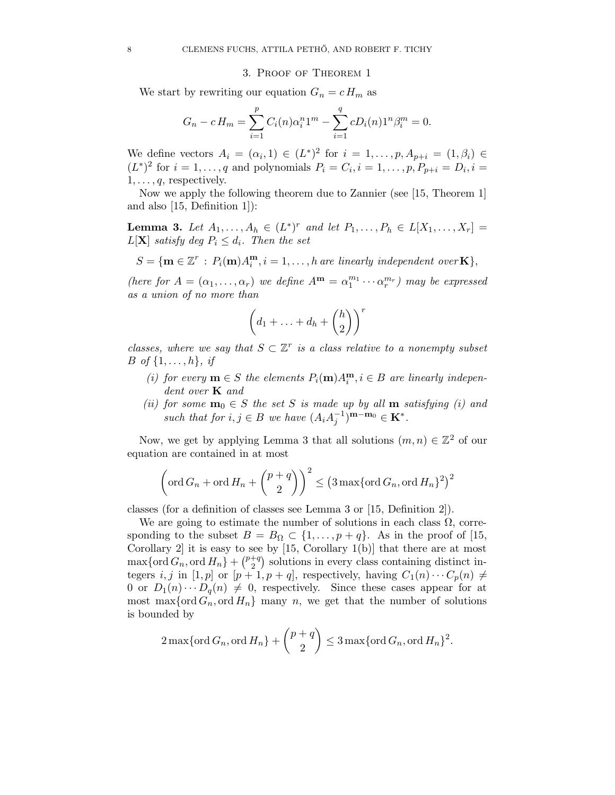### 3. Proof of Theorem 1

We start by rewriting our equation  $G_n = c H_m$  as

$$
G_n - c H_m = \sum_{i=1}^p C_i(n) \alpha_i^n 1^m - \sum_{i=1}^q c D_i(n) 1^n \beta_i^m = 0.
$$

We define vectors  $A_i = (\alpha_i, 1) \in (L^*)^2$  for  $i = 1, \ldots, p, A_{p+i} = (1, \beta_i) \in$  $(L^*)^2$  for  $i = 1, \ldots, q$  and polynomials  $P_i = C_i, i = 1, \ldots, p, P_{p+i} = D_i, i =$  $1, \ldots, q$ , respectively.

Now we apply the following theorem due to Zannier (see [15, Theorem 1] and also [15, Definition 1]):

**Lemma 3.** Let  $A_1, ..., A_h \in (L^*)^r$  and let  $P_1, ..., P_h \in L[X_1, ..., X_r] =$  $L[\mathbf{X}]$  satisfy deg  $P_i \leq d_i$ . Then the set

 $S = {\mathbf{m} \in \mathbb{Z}^r : P_i(\mathbf{m})A_i^{\mathbf{m}}}$  $\mathbf{f}_i^{\mathbf{m}}, i = 1, \ldots, h$  are linearly independent over **K** $\},$ 

(here for  $A = (\alpha_1, \dots, \alpha_r)$  we define  $A^m = \alpha_1^{m_1} \cdots \alpha_r^{m_r}$ ) may be expressed as a union of no more than

$$
\left(d_1+\ldots+d_h+\binom{h}{2}\right)^r
$$

classes, where we say that  $S \subset \mathbb{Z}^r$  is a class relative to a nonempty subset *B* of  $\{1, ..., h\}$ , if

- (i) for every  $\mathbf{m} \in S$  the elements  $P_i(\mathbf{m})A_i^{\mathbf{m}}, i \in B$  are linearly independent over **K** and
- (ii) for some  $\mathbf{m}_0 \in S$  the set S is made up by all  $\mathbf{m}$  satisfying (i) and such that for  $i, j \in B$  we have  $(A_i A_j^{-1})^{\mathbf{m}-\mathbf{m}_0} \in \mathbf{K}^*$ .

Now, we get by applying Lemma 3 that all solutions  $(m, n) \in \mathbb{Z}^2$  of our equation are contained in at most

$$
\left(\operatorname{ord} G_n + \operatorname{ord} H_n + \binom{p+q}{2}\right)^2 \le \left(3 \max\{\operatorname{ord} G_n, \operatorname{ord} H_n\}^2\right)^2
$$

classes (for a definition of classes see Lemma 3 or [15, Definition 2]).

We are going to estimate the number of solutions in each class  $\Omega$ , corresponding to the subset  $B = B_{\Omega} \subset \{1, \ldots, p + q\}$ . As in the proof of [15, Corollary 2 it is easy to see by  $[15, Corollary 1(b)]$  that there are at most  $\max\{\operatorname{ord} G_n, \operatorname{ord} H_n\} + \binom{p+q}{2}$  $\binom{+q}{2}$  solutions in every class containing distinct integers i, j in [1, p] or  $[p + 1, p + q]$ , respectively, having  $C_1(n) \cdots C_p(n) \neq$ 0 or  $D_1(n) \cdots D_q(n) \neq 0$ , respectively. Since these cases appear for at most max $\{\text{ord}\, G_n, \text{ord}\, H_n\}$  many n, we get that the number of solutions is bounded by

$$
2\max\{\operatorname{ord} G_n, \operatorname{ord} H_n\} + \binom{p+q}{2} \leq 3\max\{\operatorname{ord} G_n, \operatorname{ord} H_n\}^2.
$$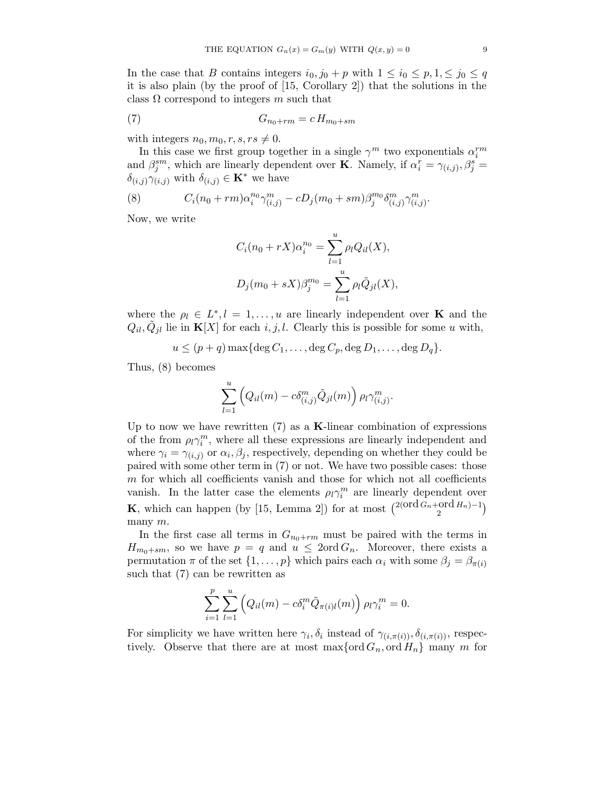In the case that B contains integers  $i_0, j_0 + p$  with  $1 \leq i_0 \leq p, 1, \leq j_0 \leq q$ it is also plain (by the proof of [15, Corollary 2]) that the solutions in the class  $\Omega$  correspond to integers m such that

$$
(7) \tG_{n_0+rm} = c H_{m_0+sm}
$$

with integers  $n_0, m_0, r, s, rs \neq 0$ .

In this case we first group together in a single  $\gamma^m$  two exponentials  $\alpha_i^{rm}$ and  $\beta_j^{sm}$ , which are linearly dependent over **K**. Namely, if  $\alpha_i^r = \gamma_{(i,j)}, \beta_j^s =$  $\delta_{(i,j)}\gamma_{(i,j)}$  with  $\delta_{(i,j)} \in \mathbf{K}^*$  we have

(8) 
$$
C_i(n_0 + rm)\alpha_i^{n_0}\gamma_{(i,j)}^m - cD_j(m_0 + sm)\beta_j^{m_0}\delta_{(i,j)}^m\gamma_{(i,j)}^m.
$$

Now, we write

$$
C_i(n_0 + rX)\alpha_i^{n_0} = \sum_{l=1}^u \rho_l Q_{il}(X),
$$
  

$$
D_j(m_0 + sX)\beta_j^{m_0} = \sum_{l=1}^u \rho_l \tilde{Q}_{jl}(X),
$$

where the  $\rho_l \in L^*, l = 1, \ldots, u$  are linearly independent over **K** and the  $Q_{il}, \tilde{Q}_{jl}$  lie in  $\mathbf{K}[X]$  for each  $i, j, l$ . Clearly this is possible for some u with,

$$
u \le (p+q) \max\{\deg C_1, \ldots, \deg C_p, \deg D_1, \ldots, \deg D_q\}.
$$

Thus, (8) becomes

$$
\sum_{l=1}^u \left( Q_{il}(m) - c \delta^m_{(i,j)} \tilde{Q}_{jl}(m) \right) \rho_l \gamma^m_{(i,j)}.
$$

Up to now we have rewritten  $(7)$  as a **K**-linear combination of expressions of the from  $\rho_l \gamma_l^m$ , where all these expressions are linearly independent and where  $\gamma_i = \gamma_{(i,j)}$  or  $\alpha_i, \beta_j$ , respectively, depending on whether they could be paired with some other term in (7) or not. We have two possible cases: those  $m$  for which all coefficients vanish and those for which not all coefficients vanish. In the latter case the elements  $\rho_l \gamma_l^m$  are linearly dependent over **K**, which can happen (by [15, Lemma 2]) for at most  $\binom{2(\text{ord }G_n+\text{ord }H_n)-1}{2}$ many m.

In the first case all terms in  $G_{n_0+rm}$  must be paired with the terms in  $H_{m_0+sm}$ , so we have  $p = q$  and  $u \leq 2 \text{ord } G_n$ . Moreover, there exists a permutation  $\pi$  of the set  $\{1, \ldots, p\}$  which pairs each  $\alpha_i$  with some  $\beta_j = \beta_{\pi(i)}$ such that (7) can be rewritten as

$$
\sum_{i=1}^p \sum_{l=1}^u \left( Q_{il}(m) - c \delta_i^m \tilde{Q}_{\pi(i)l}(m) \right) \rho_l \gamma_i^m = 0.
$$

For simplicity we have written here  $\gamma_i, \delta_i$  instead of  $\gamma_{(i,\pi(i))}, \delta_{(i,\pi(i))}$ , respectively. Observe that there are at most  $\max\{\text{ord }G_n,\text{ord }H_n\}$  many m for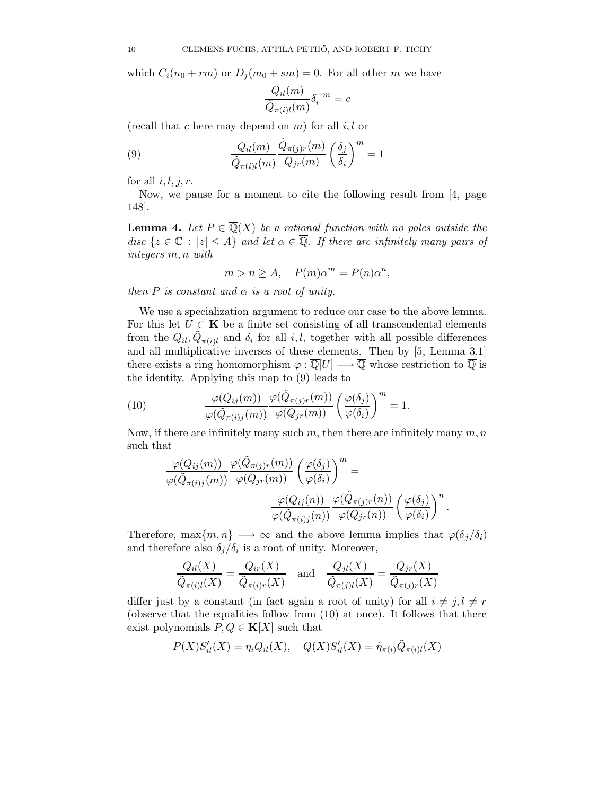which  $C_i(n_0 + rm)$  or  $D_j(m_0 + sm) = 0$ . For all other m we have

$$
\frac{Q_{il}(m)}{\tilde{Q}_{\pi(i)l}(m)}\delta_i^{-m}=c
$$

(recall that c here may depend on  $m$ ) for all  $i, l$  or

(9) 
$$
\frac{Q_{il}(m)}{\tilde{Q}_{\pi(i)l}(m)} \frac{\tilde{Q}_{\pi(j)r}(m)}{Q_{jr}(m)} \left(\frac{\delta_j}{\delta_i}\right)^m = 1
$$

for all  $i, l, j, r$ .

Now, we pause for a moment to cite the following result from [4, page 148].

**Lemma 4.** Let  $P \in \overline{\mathbb{Q}}(X)$  be a rational function with no poles outside the disc  $\{z \in \mathbb{C} : |z| \leq A\}$  and let  $\alpha \in \overline{\mathbb{Q}}$ . If there are infinitely many pairs of integers m, n with

$$
m > n \ge A, \quad P(m)\alpha^m = P(n)\alpha^n,
$$

then  $P$  is constant and  $\alpha$  is a root of unity.

We use a specialization argument to reduce our case to the above lemma. For this let  $U \subset \mathbf{K}$  be a finite set consisting of all transcendental elements from the  $Q_{il}$ ,  $\tilde{Q}_{\pi(i)l}$  and  $\delta_i$  for all i, l, together with all possible differences and all multiplicative inverses of these elements. Then by [5, Lemma 3.1] there exists a ring homomorphism  $\varphi : \overline{\mathbb{Q}}[U] \longrightarrow \overline{\mathbb{Q}}$  whose restriction to  $\overline{\mathbb{Q}}$  is the identity. Applying this map to (9) leads to

(10) 
$$
\frac{\varphi(Q_{ij}(m))}{\varphi(\tilde{Q}_{\pi(i)j}(m))} \frac{\varphi(\tilde{Q}_{\pi(j)r}(m))}{\varphi(Q_{jr}(m))} \left(\frac{\varphi(\delta_j)}{\varphi(\delta_i)}\right)^m = 1.
$$

Now, if there are infinitely many such m, then there are infinitely many  $m, n$ such that

$$
\frac{\varphi(Q_{ij}(m))}{\varphi(\tilde{Q}_{\pi(i)j}(m))} \frac{\varphi(\tilde{Q}_{\pi(j)r}(m))}{\varphi(Q_{jr}(m))} \left(\frac{\varphi(\delta_j)}{\varphi(\delta_i)}\right)^m = \frac{\varphi(Q_{ij}(n))}{\varphi(\tilde{Q}_{\pi(i)j}(n))} \frac{\varphi(\tilde{Q}_{\pi(j)r}(n))}{\varphi(Q_{jr}(n))} \left(\frac{\varphi(\delta_j)}{\varphi(\delta_i)}\right)^n.
$$

Therefore, max $\{m, n\} \longrightarrow \infty$  and the above lemma implies that  $\varphi(\delta_i/\delta_i)$ and therefore also  $\delta_j/\delta_i$  is a root of unity. Moreover,

$$
\frac{Q_{il}(X)}{\tilde{Q}_{\pi(i)l}(X)} = \frac{Q_{ir}(X)}{\tilde{Q}_{\pi(i)r}(X)} \quad \text{and} \quad \frac{Q_{jl}(X)}{\tilde{Q}_{\pi(j)l}(X)} = \frac{Q_{jr}(X)}{\tilde{Q}_{\pi(j)r}(X)}
$$

differ just by a constant (in fact again a root of unity) for all  $i \neq j, l \neq r$ (observe that the equalities follow from (10) at once). It follows that there exist polynomials  $P, Q \in \mathbf{K}[X]$  such that

$$
P(X)S'_{il}(X) = \eta_i Q_{il}(X), \quad Q(X)S'_{il}(X) = \tilde{\eta}_{\pi(i)} \tilde{Q}_{\pi(i)l}(X)
$$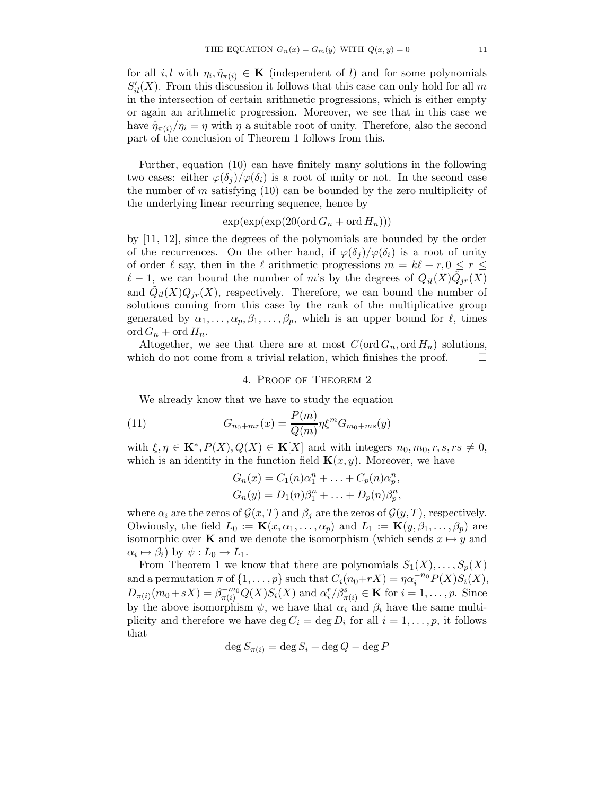for all *i*, l with  $\eta_i, \tilde{\eta}_{\pi(i)} \in \mathbf{K}$  (independent of l) and for some polynomials  $S'_{il}(X)$ . From this discussion it follows that this case can only hold for all m in the intersection of certain arithmetic progressions, which is either empty or again an arithmetic progression. Moreover, we see that in this case we have  $\tilde{\eta}_{\pi(i)}/\eta_i = \eta$  with  $\eta$  a suitable root of unity. Therefore, also the second part of the conclusion of Theorem 1 follows from this.

Further, equation (10) can have finitely many solutions in the following two cases: either  $\varphi(\delta_i)/\varphi(\delta_i)$  is a root of unity or not. In the second case the number of  $m$  satisfying  $(10)$  can be bounded by the zero multiplicity of the underlying linear recurring sequence, hence by

# $\exp(\exp(\exp(20(\text{ord }G_n + \text{ord }H_n)))$

by [11, 12], since the degrees of the polynomials are bounded by the order of the recurrences. On the other hand, if  $\varphi(\delta_i)/\varphi(\delta_i)$  is a root of unity of order  $\ell$  say, then in the  $\ell$  arithmetic progressions  $m = k\ell + r, 0 \le r \le$  $\ell - 1$ , we can bound the number of m's by the degrees of  $Q_{il}(X)\tilde{Q}_{jr}(X)$ and  $\tilde{Q}_{il}(X)Q_{jr}(X)$ , respectively. Therefore, we can bound the number of solutions coming from this case by the rank of the multiplicative group generated by  $\alpha_1, \ldots, \alpha_p, \beta_1, \ldots, \beta_p$ , which is an upper bound for  $\ell$ , times  $\operatorname{ord}G_n$  + ord  $H_n$ .

Altogether, we see that there are at most  $C(\text{ord }G_n, \text{ord }H_n)$  solutions, which do not come from a trivial relation, which finishes the proof.  $\Box$ 

## 4. Proof of Theorem 2

We already know that we have to study the equation

(11) 
$$
G_{n_0+mr}(x) = \frac{P(m)}{Q(m)} \eta \xi^m G_{m_0+ms}(y)
$$

with  $\xi, \eta \in \mathbf{K}^*, P(X), Q(X) \in \mathbf{K}[X]$  and with integers  $n_0, m_0, r, s, rs \neq 0$ , which is an identity in the function field  $\mathbf{K}(x, y)$ . Moreover, we have

$$
G_n(x) = C_1(n)\alpha_1^n + \ldots + C_p(n)\alpha_p^n,
$$
  
\n
$$
G_n(y) = D_1(n)\beta_1^n + \ldots + D_p(n)\beta_p^n,
$$

where  $\alpha_i$  are the zeros of  $\mathcal{G}(x,T)$  and  $\beta_i$  are the zeros of  $\mathcal{G}(y,T)$ , respectively. Obviously, the field  $L_0 := \mathbf{K}(x, \alpha_1, \dots, \alpha_p)$  and  $L_1 := \mathbf{K}(y, \beta_1, \dots, \beta_p)$  are isomorphic over **K** and we denote the isomorphism (which sends  $x \mapsto y$  and  $\alpha_i \mapsto \beta_i$ ) by  $\psi: L_0 \to L_1$ .

From Theorem 1 we know that there are polynomials  $S_1(X), \ldots, S_n(X)$ and a permutation  $\pi$  of  $\{1, \ldots, p\}$  such that  $C_i(n_0+rX) = \eta \alpha_i^{-n_0} P(X) S_i(X)$ ,  $D_{\pi(i)}(m_0+sX) = \beta_{\pi(i)}^{-m_0} Q(X)S_i(X)$  and  $\alpha_i^r/\beta_{\pi(i)}^s \in \mathbf{K}$  for  $i = 1, ..., p$ . Since by the above isomorphism  $\psi$ , we have that  $\alpha_i$  and  $\beta_i$  have the same multiplicity and therefore we have  $\deg C_i = \deg D_i$  for all  $i = 1, \ldots, p$ , it follows that

$$
\deg S_{\pi(i)} = \deg S_i + \deg Q - \deg P
$$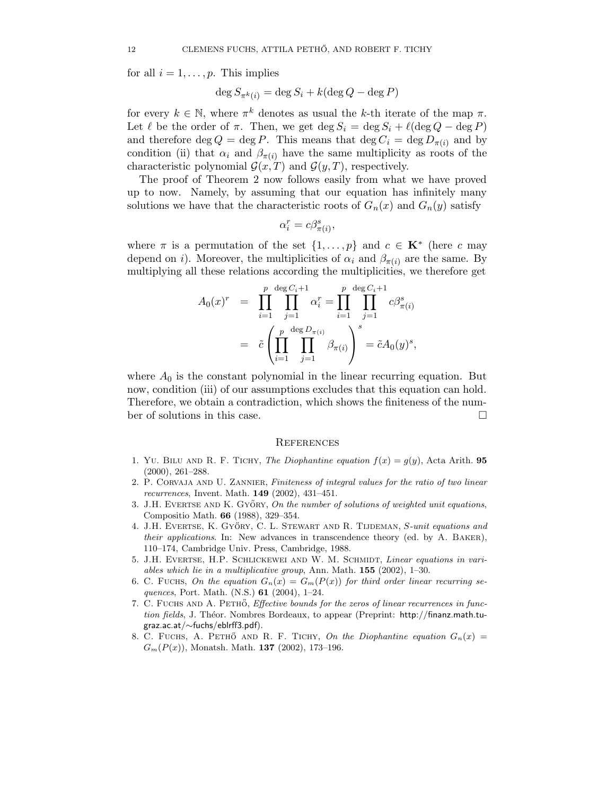for all  $i = 1, \ldots, p$ . This implies

$$
\deg S_{\pi^k(i)} = \deg S_i + k(\deg Q - \deg P)
$$

for every  $k \in \mathbb{N}$ , where  $\pi^k$  denotes as usual the k-th iterate of the map  $\pi$ . Let  $\ell$  be the order of  $\pi$ . Then, we get  $\deg S_i = \deg S_i + \ell(\deg Q - \deg P)$ and therefore deg  $Q = \deg P$ . This means that  $\deg C_i = \deg D_{\pi(i)}$  and by condition (ii) that  $\alpha_i$  and  $\beta_{\pi(i)}$  have the same multiplicity as roots of the characteristic polynomial  $\mathcal{G}(x,T)$  and  $\mathcal{G}(y,T)$ , respectively.

The proof of Theorem 2 now follows easily from what we have proved up to now. Namely, by assuming that our equation has infinitely many solutions we have that the characteristic roots of  $G_n(x)$  and  $G_n(y)$  satisfy

$$
\alpha_i^r = c\beta_{\pi(i)}^s,
$$

where  $\pi$  is a permutation of the set  $\{1, \ldots, p\}$  and  $c \in \mathbf{K}^*$  (here c may depend on *i*). Moreover, the multiplicities of  $\alpha_i$  and  $\beta_{\pi(i)}$  are the same. By multiplying all these relations according the multiplicities, we therefore get

$$
A_0(x)^r = \prod_{i=1}^p \prod_{j=1}^{\deg C_i + 1} \alpha_i^r = \prod_{i=1}^p \prod_{j=1}^{\deg C_i + 1} c\beta_{\pi(i)}^s
$$
  
=  $\tilde{c} \left( \prod_{i=1}^p \prod_{j=1}^{\deg D_{\pi(i)}} \beta_{\pi(i)} \right)^s = \tilde{c}A_0(y)^s,$ 

where  $A_0$  is the constant polynomial in the linear recurring equation. But now, condition (iii) of our assumptions excludes that this equation can hold. Therefore, we obtain a contradiction, which shows the finiteness of the number of solutions in this case.

### **REFERENCES**

- 1. YU. BILU AND R. F. TICHY, The Diophantine equation  $f(x) = g(y)$ , Acta Arith. 95 (2000), 261–288.
- 2. P. CORVAJA AND U. ZANNIER, Finiteness of integral values for the ratio of two linear recurrences, Invent. Math. 149 (2002), 431–451.
- 3. J.H. EVERTSE AND K. GYŐRY, On the number of solutions of weighted unit equations, Compositio Math. 66 (1988), 329–354.
- 4. J.H. EVERTSE, K. GYŐRY, C. L. STEWART AND R. TIJDEMAN, S-unit equations and their applications. In: New advances in transcendence theory (ed. by A. Baker), 110–174, Cambridge Univ. Press, Cambridge, 1988.
- 5. J.H. Evertse, H.P. Schlickewei and W. M. Schmidt, Linear equations in variables which lie in a multiplicative group, Ann. Math. 155 (2002), 1–30.
- 6. C. FUCHS, On the equation  $G_n(x) = G_m(P(x))$  for third order linear recurring sequences, Port. Math. (N.S.)  $61$  (2004), 1–24.
- 7. C. FUCHS AND A. PETHÖ, Effective bounds for the zeros of linear recurrences in function fields, J. Théor. Nombres Bordeaux, to appear (Preprint: http://finanz.math.tugraz.ac.at/∼fuchs/eblrff3.pdf).
- 8. C. FUCHS, A. PETHÖ AND R. F. TICHY, On the Diophantine equation  $G_n(x)$  =  $G_m(P(x))$ , Monatsh. Math. 137 (2002), 173-196.